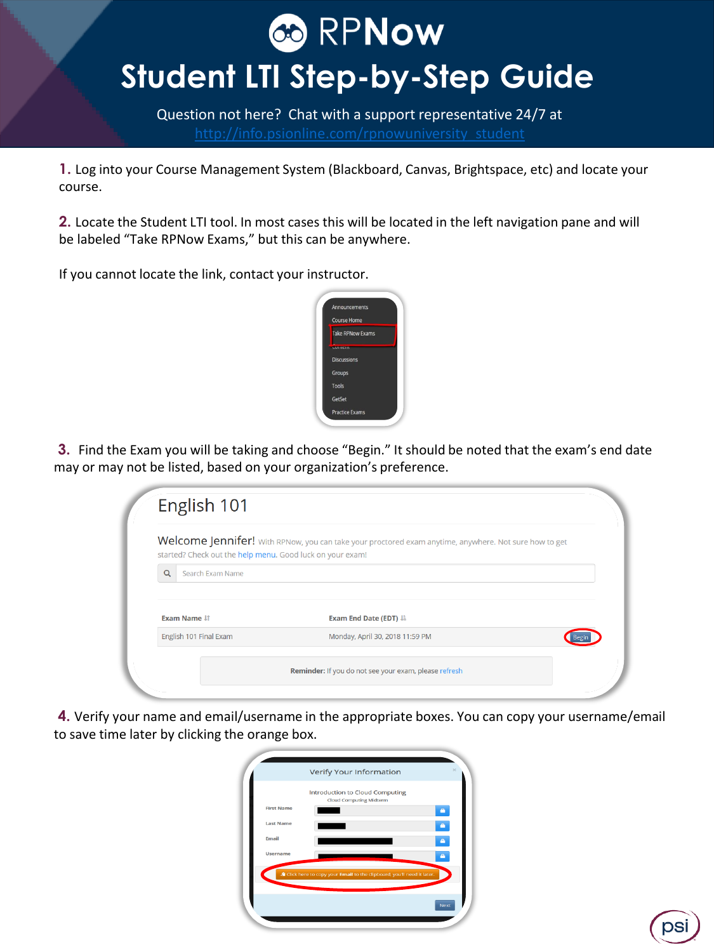### **CO RPNOW**

### **Student LTI Step-by-Step Guide**

Question not here? Chat with a support representative 24/7 at

**1.** Log into your Course Management System (Blackboard, Canvas, Brightspace, etc) and locate your course.

**2.** Locate the Student LTI tool. In most cases this will be located in the left navigation pane and will be labeled "Take RPNow Exams," but this can be anywhere.

If you cannot locate the link, contact your instructor.



**3.** Find the Exam you will be taking and choose "Begin." It should be noted that the exam's end date may or may not be listed, based on your organization's preference.

| started? Check out the help menu. Good luck on your exam! | Welcome Jennifer! With RPNow, you can take your proctored exam anytime, anywhere. Not sure how to get |  |
|-----------------------------------------------------------|-------------------------------------------------------------------------------------------------------|--|
| Search Exam Name<br>$\Omega$                              |                                                                                                       |  |
| <b>Exam Name If</b>                                       | Exam End Date (EDT) $\downarrow$                                                                      |  |
|                                                           | Monday, April 30, 2018 11:59 PM                                                                       |  |

**4.** Verify your name and email/username in the appropriate boxes. You can copy your username/email to save time later by clicking the orange box.

|                   | Verify Your Information                                               |           |
|-------------------|-----------------------------------------------------------------------|-----------|
|                   | Introduction to Cloud Computing<br><b>Cloud Computing Midterm</b>     |           |
| <b>First Name</b> |                                                                       | ۰         |
| <b>Last Name</b>  |                                                                       | $\bullet$ |
| Email             |                                                                       | a.        |
| Username          |                                                                       |           |
|                   | Elick here to copy your Email to the clipboard, you'll need it later. |           |
|                   |                                                                       |           |

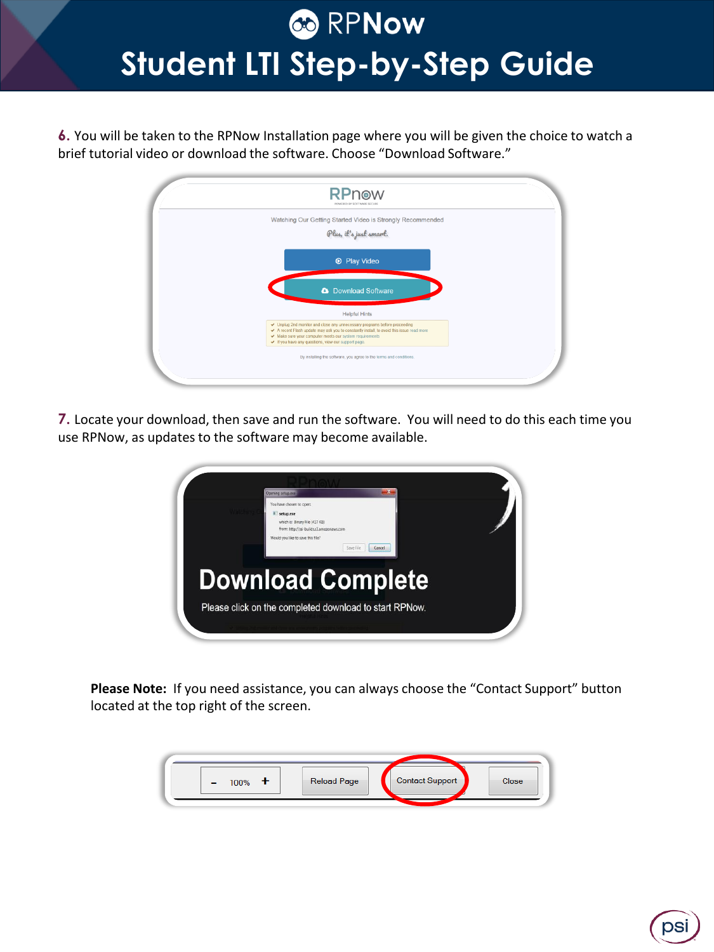**6.** You will be taken to the RPNow Installation page where you will be given the choice to watch a brief tutorial video or download the software. Choose "Download Software."



**7.** Locate your download, then save and run the software. You will need to do this each time you use RPNow, as updates to the software may become available.



**Please Note:** If you need assistance, you can always choose the "Contact Support" button located at the top right of the screen.

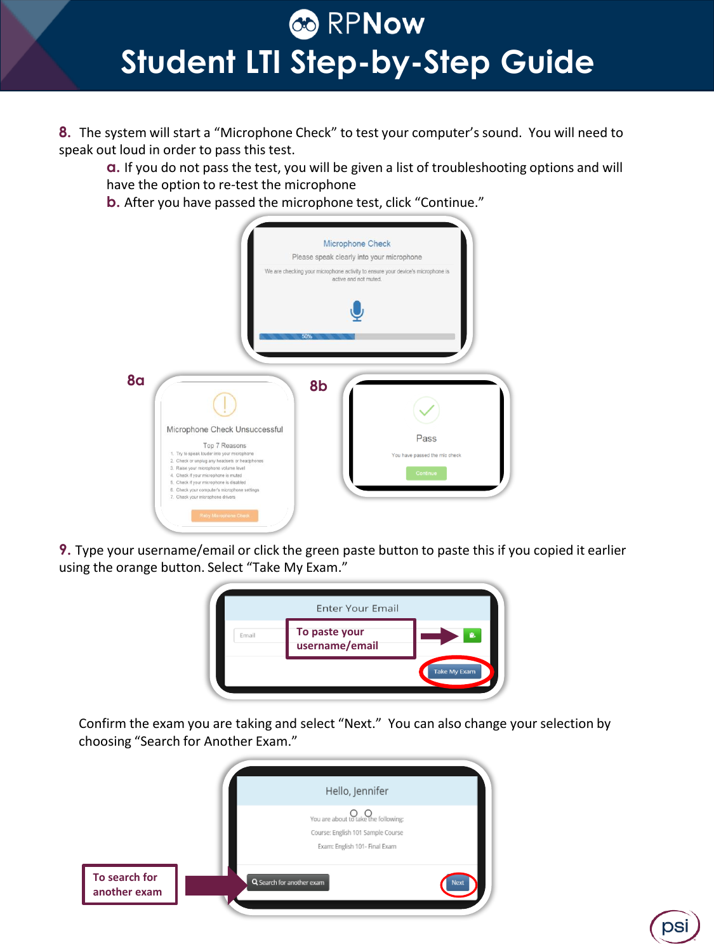**8.** The system will start a "Microphone Check" to test your computer's sound. You will need to speak out loud in order to pass this test.

**a.** If you do not pass the test, you will be given a list of troubleshooting options and will have the option to re-test the microphone

**b.** After you have passed the microphone test, click "Continue."



**9.** Type your username/email or click the green paste button to paste this if you copied it earlier using the orange button. Select "Take My Exam."



Confirm the exam you are taking and select "Next." You can also change your selection by choosing "Search for Another Exam."

psi

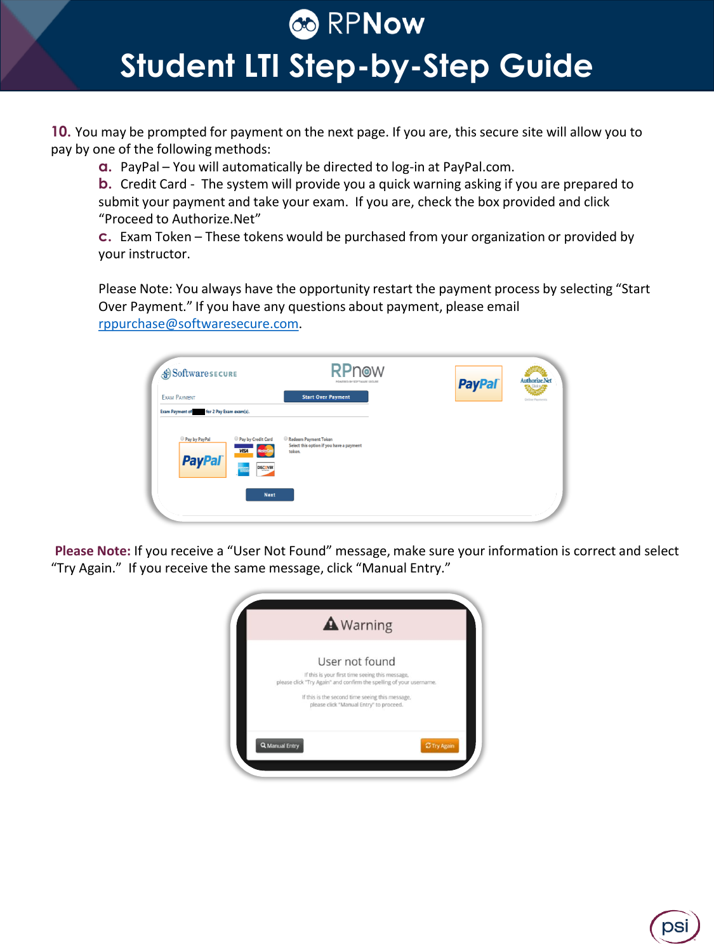#### **CO** RPNow

### **Student LTI Step-by-Step Guide**

**10.** You may be prompted for payment on the next page. If you are, this secure site will allow you to pay by one of the following methods:

**a.** PayPal – You will automatically be directed to log-in at PayPal.com.

**b.** Credit Card - The system will provide you a quick warning asking if you are prepared to submit your payment and take your exam. If you are, check the box provided and click "Proceed to Authorize.Net"

**c.** Exam Token – These tokens would be purchased from your organization or provided by your instructor.

Please Note: You always have the opportunity restart the payment process by selecting "Start Over Payment." If you have any questions about payment, please email [rppurchase@softwaresecure.com.](mailto:rppurchase@softwaresecure.com)

| SoftwaresECURE                                                                                            | <b>RPnow</b><br>POWERED BY SOFTWARE SECURE                                 | <b>PayPal</b> | Authorize.Net                         |
|-----------------------------------------------------------------------------------------------------------|----------------------------------------------------------------------------|---------------|---------------------------------------|
| EXAM PAYMENT                                                                                              | <b>Start Over Payment</b>                                                  |               | Click <sub>b</sub><br>Online Payments |
| for 2 Pay Exam exam(s).<br><b>Exam Payment of</b>                                                         |                                                                            |               |                                       |
| Pay by PayPal<br>Pay by Credit Card<br><b>VISA</b><br><b>MasterCa</b><br><b>PayPal</b><br><b>DISCOVER</b> | Redeem Payment Token<br>Select this option if you have a payment<br>token. |               |                                       |
| <b>Next</b>                                                                                               |                                                                            |               |                                       |

**Please Note:** If you receive a "User Not Found" message, make sure your information is correct and select "Try Again." If you receive the same message, click "Manual Entry."

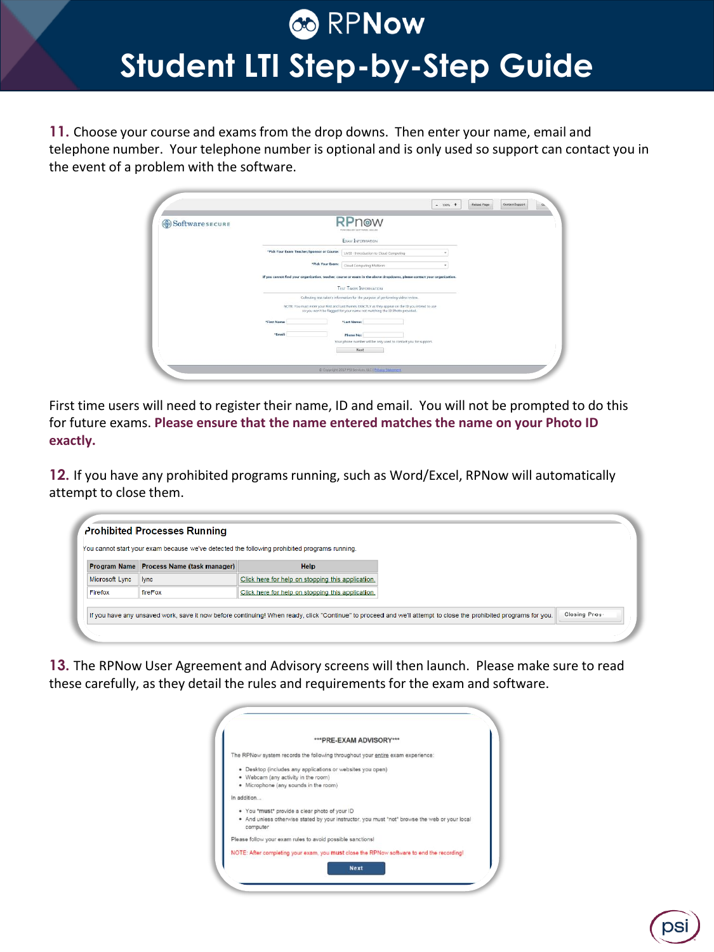**11.** Choose your course and exams from the drop downs. Then enter your name, email and telephone number. Your telephone number is optional and is only used so support can contact you in the event of a problem with the software.

| SoftwaresECURE | RPnow<br>POINTIES BY SOFTWARE SECURE                                                                                                                                                                                                                              |  |
|----------------|-------------------------------------------------------------------------------------------------------------------------------------------------------------------------------------------------------------------------------------------------------------------|--|
|                | EXAM INFORMATION                                                                                                                                                                                                                                                  |  |
|                | *Pick Your Exam Teacher/Sponsor or Course:<br>LMSI - Introduction to Cloud Computing<br>×                                                                                                                                                                         |  |
|                | "Pick Your Exam:<br>Cloud Computing Midterm                                                                                                                                                                                                                       |  |
|                | If you cannot find your organization, teacher, course or exam in the above dropdowns, please contact your organization.                                                                                                                                           |  |
|                | <b>TEST TAKER INFORMATION</b>                                                                                                                                                                                                                                     |  |
|                | Collecting test taker's information for the purpose of performing video review.<br>NOTE: You must enter your First and Last Names EXACTLY as they appear on the ID you intend to use<br>so you won't be flagged for your name not matching the ID Photo provided. |  |
|                | *First Name:<br>"Last Name:                                                                                                                                                                                                                                       |  |
|                | *Fmall:<br>Phone No:<br>Your phone number will be only used to contact you for support.                                                                                                                                                                           |  |

First time users will need to register their name, ID and email. You will not be prompted to do this for future exams. **Please ensure that the name entered matches the name on your Photo ID exactly.** 

**12.** If you have any prohibited programs running, such as Word/Excel, RPNow will automatically attempt to close them.

|                | Program Name Process Name (task manager) | <b>Help</b>                                       |  |
|----------------|------------------------------------------|---------------------------------------------------|--|
| Microsoft Lync | <b>Ivnc</b>                              | Click here for help on stopping this application. |  |
| Firefox        | fireFox                                  | Click here for help on stopping this application. |  |

**13.** The RPNow User Agreement and Advisory screens will then launch. Please make sure to read these carefully, as they detail the rules and requirements for the exam and software.

|             | *** PRE-EXAM ADVISORY***                                                                      |
|-------------|-----------------------------------------------------------------------------------------------|
|             | The RPNow system records the following throughout your entire exam experience:                |
|             | · Desktop (includes any applications or websites you open)                                    |
|             | • Webcam (any activity in the room)                                                           |
|             | • Microphone (any sounds in the room)                                                         |
| In addition |                                                                                               |
|             | . You "must" provide a clear photo of your ID                                                 |
| computer    | . And unless otherwise stated by your instructor, you must "not" browse the web or your local |
|             | Please follow your exam rules to avoid possible sanctions!                                    |
|             | NOTE: After completing your exam, you must close the RPNow software to end the recording!     |

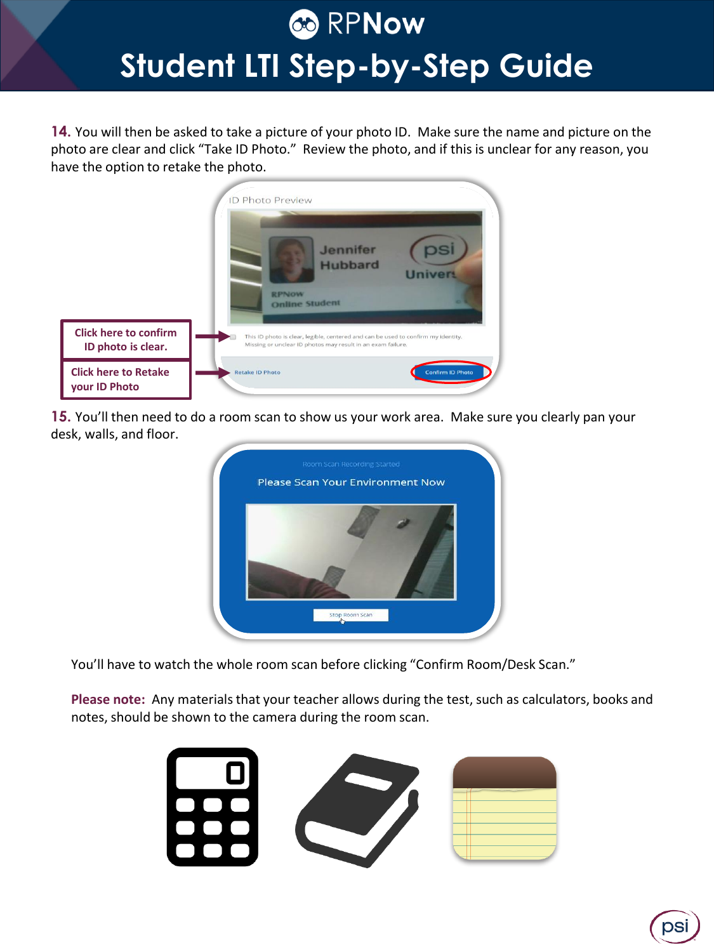**14.** You will then be asked to take a picture of your photo ID. Make sure the name and picture on the photo are clear and click "Take ID Photo." Review the photo, and if this is unclear for any reason, you have the option to retake the photo.



**15.** You'll then need to do a room scan to show us your work area. Make sure you clearly pan your desk, walls, and floor.



You'll have to watch the whole room scan before clicking "Confirm Room/Desk Scan."

**Please note:** Any materials that your teacher allows during the test, such as calculators, books and notes, should be shown to the camera during the room scan.



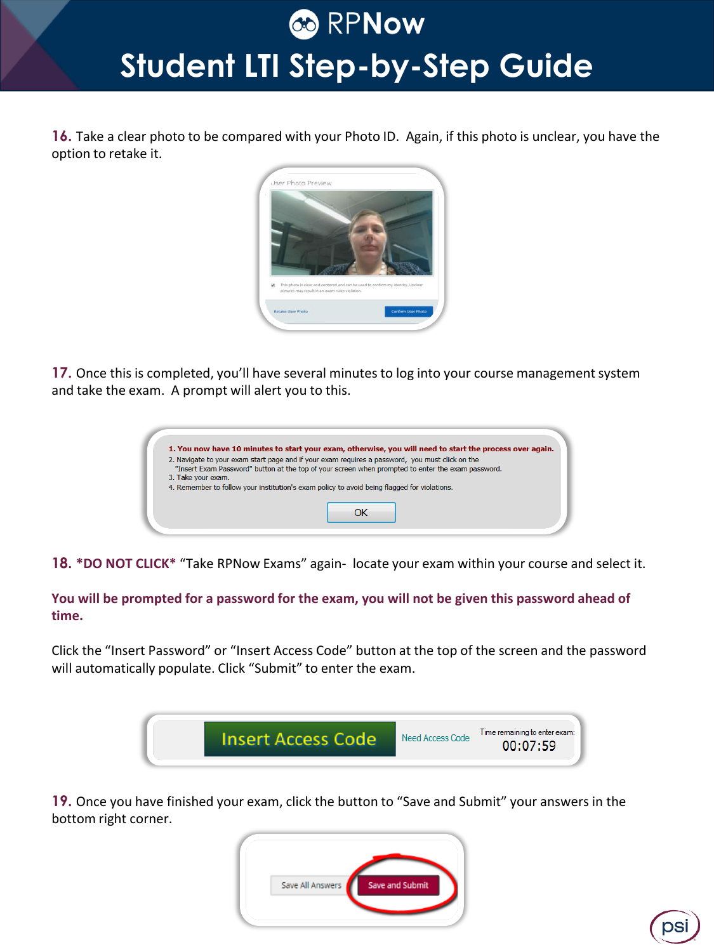**16.** Take a clear photo to be compared with your Photo ID. Again, if this photo is unclear, you have the option to retake it.



**17.** Once this is completed, you'll have several minutes to log into your course management system and take the exam. A prompt will alert you to this.

|                    | 1. You now have 10 minutes to start your exam, otherwise, you will need to start the process over again.                                                                                             |
|--------------------|------------------------------------------------------------------------------------------------------------------------------------------------------------------------------------------------------|
|                    | 2. Navigate to your exam start page and if your exam requires a password, you must click on the<br>"Insert Exam Password" button at the top of your screen when prompted to enter the exam password. |
| 3. Take your exam. | 4. Remember to follow your institution's exam policy to avoid being flagged for violations.                                                                                                          |
|                    |                                                                                                                                                                                                      |
|                    |                                                                                                                                                                                                      |

**18. \*DO NOT CLICK\*** "Take RPNow Exams" again- locate your exam within your course and select it.

**You will be prompted for a password for the exam, you will not be given this password ahead of time.**

Click the "Insert Password" or "Insert Access Code" button at the top of the screen and the password will automatically populate. Click "Submit" to enter the exam.



**19.** Once you have finished your exam, click the button to "Save and Submit" your answers in the bottom right corner.